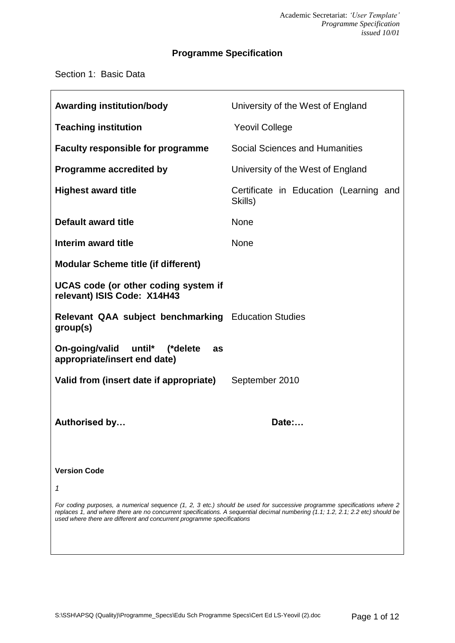# **Programme Specification**

## Section 1: Basic Data

| <b>Awarding institution/body</b>                                                                                                                                                                                                                                                                                                     | University of the West of England                 |  |
|--------------------------------------------------------------------------------------------------------------------------------------------------------------------------------------------------------------------------------------------------------------------------------------------------------------------------------------|---------------------------------------------------|--|
| <b>Teaching institution</b>                                                                                                                                                                                                                                                                                                          | <b>Yeovil College</b>                             |  |
| <b>Faculty responsible for programme</b>                                                                                                                                                                                                                                                                                             | Social Sciences and Humanities                    |  |
| <b>Programme accredited by</b>                                                                                                                                                                                                                                                                                                       | University of the West of England                 |  |
| <b>Highest award title</b>                                                                                                                                                                                                                                                                                                           | Certificate in Education (Learning and<br>Skills) |  |
| Default award title                                                                                                                                                                                                                                                                                                                  | <b>None</b>                                       |  |
| Interim award title                                                                                                                                                                                                                                                                                                                  | <b>None</b>                                       |  |
| <b>Modular Scheme title (if different)</b>                                                                                                                                                                                                                                                                                           |                                                   |  |
| UCAS code (or other coding system if<br>relevant) ISIS Code: X14H43                                                                                                                                                                                                                                                                  |                                                   |  |
| <b>Relevant QAA subject benchmarking Education Studies</b><br>group(s)                                                                                                                                                                                                                                                               |                                                   |  |
| On-going/valid<br>until* (*delete<br>as<br>appropriate/insert end date)                                                                                                                                                                                                                                                              |                                                   |  |
| Valid from (insert date if appropriate)                                                                                                                                                                                                                                                                                              | September 2010                                    |  |
|                                                                                                                                                                                                                                                                                                                                      |                                                   |  |
| <b>Authorised by</b>                                                                                                                                                                                                                                                                                                                 | Date:                                             |  |
|                                                                                                                                                                                                                                                                                                                                      |                                                   |  |
| <b>Version Code</b>                                                                                                                                                                                                                                                                                                                  |                                                   |  |
| 1                                                                                                                                                                                                                                                                                                                                    |                                                   |  |
| For coding purposes, a numerical sequence (1, 2, 3 etc.) should be used for successive programme specifications where 2<br>replaces 1, and where there are no concurrent specifications. A sequential decimal numbering (1.1; 1.2, 2.1; 2.2 etc) should be<br>used where there are different and concurrent programme specifications |                                                   |  |
|                                                                                                                                                                                                                                                                                                                                      |                                                   |  |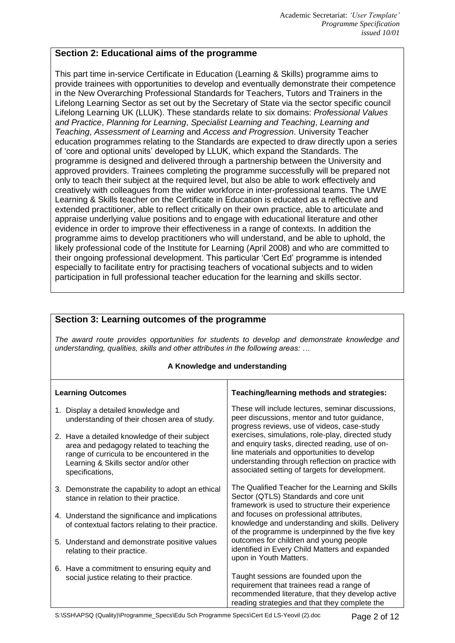## **Section 2: Educational aims of the programme**

This part time in-service Certificate in Education (Learning & Skills) programme aims to provide trainees with opportunities to develop and eventually demonstrate their competence in the New Overarching Professional Standards for Teachers, Tutors and Trainers in the Lifelong Learning Sector as set out by the Secretary of State via the sector specific council Lifelong Learning UK (LLUK). These standards relate to six domains: *Professional Values and Practice*, *Planning for Learning*, *Specialist Learning and Teaching*, *Learning and Teaching*, *Assessment of Learning* and *Access and Progression*. University Teacher education programmes relating to the Standards are expected to draw directly upon a series of 'core and optional units' developed by LLUK, which expand the Standards. The programme is designed and delivered through a partnership between the University and approved providers. Trainees completing the programme successfully will be prepared not only to teach their subject at the required level, but also be able to work effectively and creatively with colleagues from the wider workforce in inter-professional teams. The UWE Learning & Skills teacher on the Certificate in Education is educated as a reflective and extended practitioner, able to reflect critically on their own practice, able to articulate and appraise underlying value positions and to engage with educational literature and other evidence in order to improve their effectiveness in a range of contexts. In addition the programme aims to develop practitioners who will understand, and be able to uphold, the likely professional code of the Institute for Learning (April 2008) and who are committed to their ongoing professional development. This particular 'Cert Ed' programme is intended especially to facilitate entry for practising teachers of vocational subjects and to widen participation in full professional teacher education for the learning and skills sector.

## **Section 3: Learning outcomes of the programme**

*The award route provides opportunities for students to develop and demonstrate knowledge and understanding, qualities, skills and other attributes in the following areas: …*

#### **A Knowledge and understanding**

| <b>Learning Outcomes</b>                                                                                                                                                                              | Teaching/learning methods and strategies:                                                                                                                                                                                                                  |  |
|-------------------------------------------------------------------------------------------------------------------------------------------------------------------------------------------------------|------------------------------------------------------------------------------------------------------------------------------------------------------------------------------------------------------------------------------------------------------------|--|
| 1. Display a detailed knowledge and<br>understanding of their chosen area of study.                                                                                                                   | These will include lectures, seminar discussions,<br>peer discussions, mentor and tutor guidance,<br>progress reviews, use of videos, case-study                                                                                                           |  |
| 2. Have a detailed knowledge of their subject<br>area and pedagogy related to teaching the<br>range of curricula to be encountered in the<br>Learning & Skills sector and/or other<br>specifications, | exercises, simulations, role-play, directed study<br>and enquiry tasks, directed reading, use of on-<br>line materials and opportunities to develop<br>understanding through reflection on practice with<br>associated setting of targets for development. |  |
| 3. Demonstrate the capability to adopt an ethical<br>stance in relation to their practice.                                                                                                            | The Qualified Teacher for the Learning and Skills<br>Sector (QTLS) Standards and core unit<br>framework is used to structure their experience                                                                                                              |  |
| 4. Understand the significance and implications<br>of contextual factors relating to their practice.                                                                                                  | and focuses on professional attributes,<br>knowledge and understanding and skills. Delivery<br>of the programme is underpinned by the five key                                                                                                             |  |
| 5. Understand and demonstrate positive values<br>relating to their practice.                                                                                                                          | outcomes for children and young people<br>identified in Every Child Matters and expanded<br>upon in Youth Matters.                                                                                                                                         |  |
| 6. Have a commitment to ensuring equity and<br>social justice relating to their practice.                                                                                                             | Taught sessions are founded upon the<br>requirement that trainees read a range of<br>recommended literature, that they develop active<br>reading strategies and that they complete the                                                                     |  |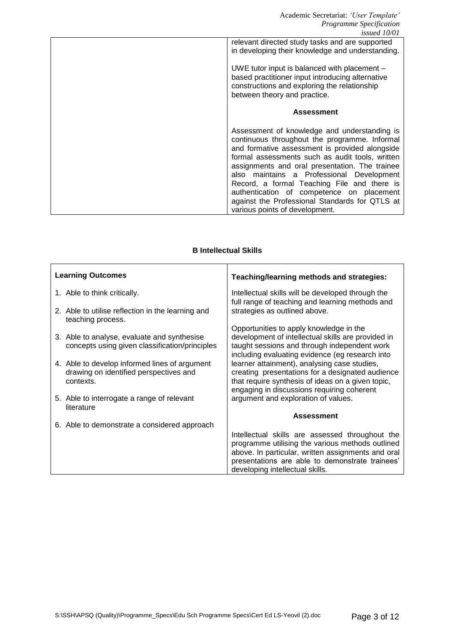#### **B Intellectual Skills**

| <b>Learning Outcomes</b>                                                                             | Teaching/learning methods and strategies:                                                                                                                                                           |
|------------------------------------------------------------------------------------------------------|-----------------------------------------------------------------------------------------------------------------------------------------------------------------------------------------------------|
| 1. Able to think critically.                                                                         | Intellectual skills will be developed through the<br>full range of teaching and learning methods and                                                                                                |
| 2. Able to utilise reflection in the learning and<br>teaching process.                               | strategies as outlined above.                                                                                                                                                                       |
| 3. Able to analyse, evaluate and synthesise<br>concepts using given classification/principles        | Opportunities to apply knowledge in the<br>development of intellectual skills are provided in<br>taught sessions and through independent work<br>including evaluating evidence (eg research into    |
| 4. Able to develop informed lines of argument<br>drawing on identified perspectives and<br>contexts. | learner attainment), analysing case studies,<br>creating presentations for a designated audience<br>that require synthesis of ideas on a given topic,<br>engaging in discussions requiring coherent |
| 5. Able to interrogate a range of relevant<br>literature                                             | argument and exploration of values.                                                                                                                                                                 |
|                                                                                                      | <b>Assessment</b>                                                                                                                                                                                   |
| 6. Able to demonstrate a considered approach                                                         | Intellectual skills are assessed throughout the                                                                                                                                                     |
|                                                                                                      | programme utilising the various methods outlined<br>above. In particular, written assignments and oral<br>presentations are able to demonstrate trainees'                                           |
|                                                                                                      | developing intellectual skills.                                                                                                                                                                     |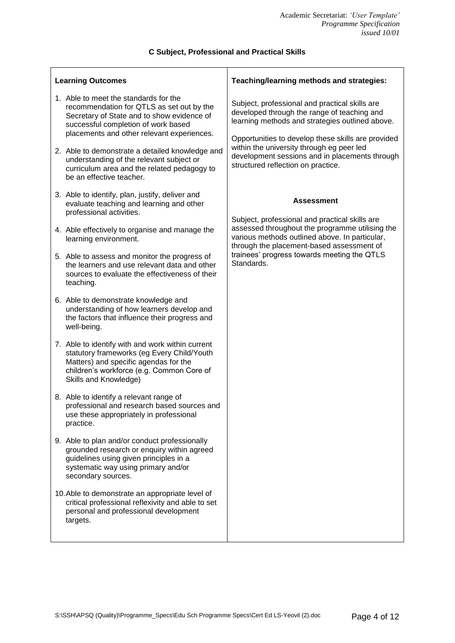## **C Subject, Professional and Practical Skills**

| <b>Learning Outcomes</b>                                                                                                                                                                                                                                                                                                                                                                        | Teaching/learning methods and strategies:                                                                                                                                                                                                                                                                                                   |  |
|-------------------------------------------------------------------------------------------------------------------------------------------------------------------------------------------------------------------------------------------------------------------------------------------------------------------------------------------------------------------------------------------------|---------------------------------------------------------------------------------------------------------------------------------------------------------------------------------------------------------------------------------------------------------------------------------------------------------------------------------------------|--|
| 1. Able to meet the standards for the<br>recommendation for QTLS as set out by the<br>Secretary of State and to show evidence of<br>successful completion of work based<br>placements and other relevant experiences.<br>2. Able to demonstrate a detailed knowledge and<br>understanding of the relevant subject or<br>curriculum area and the related pedagogy to<br>be an effective teacher. | Subject, professional and practical skills are<br>developed through the range of teaching and<br>learning methods and strategies outlined above.<br>Opportunities to develop these skills are provided<br>within the university through eg peer led<br>development sessions and in placements through<br>structured reflection on practice. |  |
| 3. Able to identify, plan, justify, deliver and<br>evaluate teaching and learning and other<br>professional activities.                                                                                                                                                                                                                                                                         | <b>Assessment</b><br>Subject, professional and practical skills are                                                                                                                                                                                                                                                                         |  |
| 4. Able effectively to organise and manage the<br>learning environment.                                                                                                                                                                                                                                                                                                                         | assessed throughout the programme utilising the<br>various methods outlined above. In particular,<br>through the placement-based assessment of                                                                                                                                                                                              |  |
| 5. Able to assess and monitor the progress of<br>the learners and use relevant data and other<br>sources to evaluate the effectiveness of their<br>teaching.                                                                                                                                                                                                                                    | trainees' progress towards meeting the QTLS<br>Standards.                                                                                                                                                                                                                                                                                   |  |
| 6. Able to demonstrate knowledge and<br>understanding of how learners develop and<br>the factors that influence their progress and<br>well-being.                                                                                                                                                                                                                                               |                                                                                                                                                                                                                                                                                                                                             |  |
| 7. Able to identify with and work within current<br>statutory frameworks (eg Every Child/Youth<br>Matters) and specific agendas for the<br>children's workforce (e.g. Common Core of<br>Skills and Knowledge)                                                                                                                                                                                   |                                                                                                                                                                                                                                                                                                                                             |  |
| 8. Able to identify a relevant range of<br>professional and research based sources and<br>use these appropriately in professional<br>practice.                                                                                                                                                                                                                                                  |                                                                                                                                                                                                                                                                                                                                             |  |
| 9. Able to plan and/or conduct professionally<br>grounded research or enquiry within agreed<br>guidelines using given principles in a<br>systematic way using primary and/or<br>secondary sources.                                                                                                                                                                                              |                                                                                                                                                                                                                                                                                                                                             |  |
| 10. Able to demonstrate an appropriate level of<br>critical professional reflexivity and able to set<br>personal and professional development<br>targets.                                                                                                                                                                                                                                       |                                                                                                                                                                                                                                                                                                                                             |  |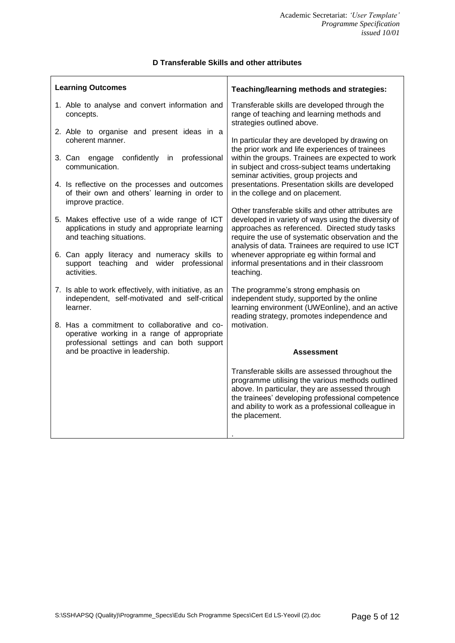## **D Transferable Skills and other attributes** т

 $\overline{\phantom{a}}$ 

| <b>Learning Outcomes</b>                                                                                                                  | Teaching/learning methods and strategies:                                                                                                                                                                                                                                          |  |
|-------------------------------------------------------------------------------------------------------------------------------------------|------------------------------------------------------------------------------------------------------------------------------------------------------------------------------------------------------------------------------------------------------------------------------------|--|
| 1. Able to analyse and convert information and<br>concepts.                                                                               | Transferable skills are developed through the<br>range of teaching and learning methods and<br>strategies outlined above.                                                                                                                                                          |  |
| 2. Able to organise and present ideas in a<br>coherent manner.                                                                            | In particular they are developed by drawing on<br>the prior work and life experiences of trainees                                                                                                                                                                                  |  |
| 3. Can engage confidently<br>professional<br>in.<br>communication.                                                                        | within the groups. Trainees are expected to work<br>in subject and cross-subject teams undertaking                                                                                                                                                                                 |  |
| 4. Is reflective on the processes and outcomes<br>of their own and others' learning in order to<br>improve practice.                      | seminar activities, group projects and<br>presentations. Presentation skills are developed<br>in the college and on placement.                                                                                                                                                     |  |
|                                                                                                                                           | Other transferable skills and other attributes are                                                                                                                                                                                                                                 |  |
| 5. Makes effective use of a wide range of ICT<br>applications in study and appropriate learning<br>and teaching situations.               | developed in variety of ways using the diversity of<br>approaches as referenced. Directed study tasks<br>require the use of systematic observation and the<br>analysis of data. Trainees are required to use ICT                                                                   |  |
| 6. Can apply literacy and numeracy skills to<br>support teaching<br>wider professional<br>and                                             | whenever appropriate eg within formal and<br>informal presentations and in their classroom                                                                                                                                                                                         |  |
| activities.                                                                                                                               | teaching.                                                                                                                                                                                                                                                                          |  |
| 7. Is able to work effectively, with initiative, as an<br>independent, self-motivated and self-critical<br>learner.                       | The programme's strong emphasis on<br>independent study, supported by the online<br>learning environment (UWEonline), and an active<br>reading strategy, promotes independence and                                                                                                 |  |
| 8. Has a commitment to collaborative and co-<br>operative working in a range of appropriate<br>professional settings and can both support | motivation.                                                                                                                                                                                                                                                                        |  |
| and be proactive in leadership.                                                                                                           | Assessment                                                                                                                                                                                                                                                                         |  |
|                                                                                                                                           | Transferable skills are assessed throughout the<br>programme utilising the various methods outlined<br>above. In particular, they are assessed through<br>the trainees' developing professional competence<br>and ability to work as a professional colleague in<br>the placement. |  |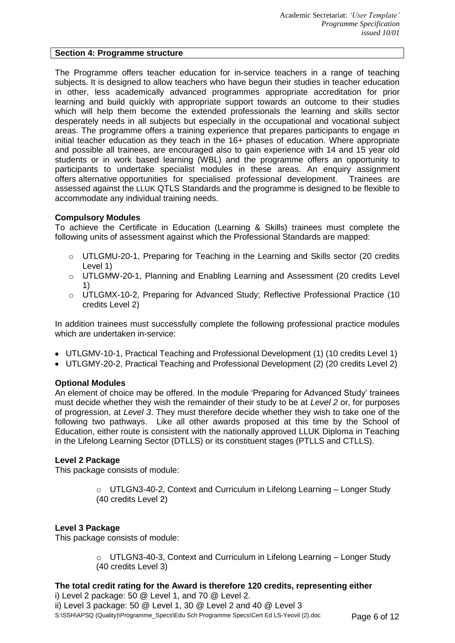#### **Section 4: Programme structure**

The Programme offers teacher education for in-service teachers in a range of teaching subjects. It is designed to allow teachers who have begun their studies in teacher education in other, less academically advanced programmes appropriate accreditation for prior learning and build quickly with appropriate support towards an outcome to their studies which will help them become the extended professionals the learning and skills sector desperately needs in all subjects but especially in the occupational and vocational subject areas. The programme offers a training experience that prepares participants to engage in initial teacher education as they teach in the 16+ phases of education. Where appropriate and possible all trainees, are encouraged also to gain experience with 14 and 15 year old students or in work based learning (WBL) and the programme offers an opportunity to participants to undertake specialist modules in these areas. An enquiry assignment offers alternative opportunities for specialised professional development. Trainees are assessed against the LLUK QTLS Standards and the programme is designed to be flexible to accommodate any individual training needs.

#### **Compulsory Modules**

To achieve the Certificate in Education (Learning & Skills) trainees must complete the following units of assessment against which the Professional Standards are mapped:

- $\circ$  UTLGMU-20-1, Preparing for Teaching in the Learning and Skills sector (20 credits Level 1)
- o UTLGMW-20-1, Planning and Enabling Learning and Assessment (20 credits Level 1)
- o UTLGMX-10-2, Preparing for Advanced Study; Reflective Professional Practice (10 credits Level 2)

In addition trainees must successfully complete the following professional practice modules which are undertaken in-service:

- UTLGMV-10-1, Practical Teaching and Professional Development (1) (10 credits Level 1)
- UTLGMY-20-2, Practical Teaching and Professional Development (2) (20 credits Level 2)

### **Optional Modules**

An element of choice may be offered. In the module 'Preparing for Advanced Study' trainees must decide whether they wish the remainder of their study to be at *Level 2* or, for purposes of progression, at *Level 3*. They must therefore decide whether they wish to take one of the following two pathways. Like all other awards proposed at this time by the School of Education, either route is consistent with the nationally approved LLUK Diploma in Teaching in the Lifelong Learning Sector (DTLLS) or its constituent stages (PTLLS and CTLLS).

#### **Level 2 Package**

This package consists of module:

o UTLGN3-40-2, Context and Curriculum in Lifelong Learning – Longer Study (40 credits Level 2)

#### **Level 3 Package**

This package consists of module:

o UTLGN3-40-3, Context and Curriculum in Lifelong Learning – Longer Study (40 credits Level 3)

## **The total credit rating for the Award is therefore 120 credits, representing either**

S:\SSH\APSQ (Quality)\Programme\_Specs\Edu Sch Programme Specs\Cert Ed LS-Yeovil (2).doc Page 6 of 12 i) Level 2 package: 50 @ Level 1, and 70 @ Level 2. ii) Level 3 package: 50 @ Level 1, 30 @ Level 2 and 40 @ Level 3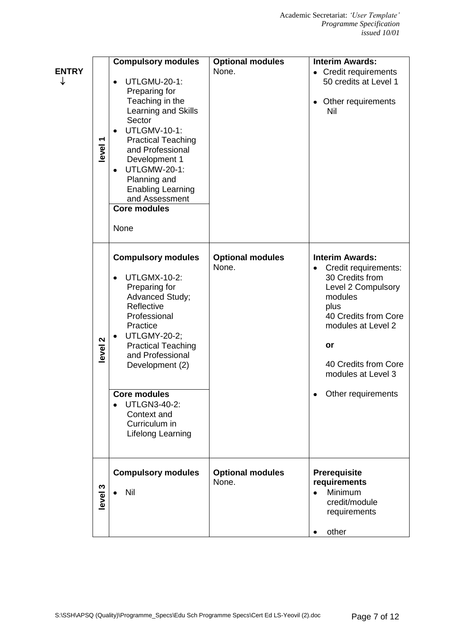| <b>ENTRY</b><br>↓ | level 1                            | <b>Compulsory modules</b><br>UTLGMU-20-1:<br>Preparing for<br>Teaching in the<br>Learning and Skills<br>Sector<br><b>UTLGMV-10-1:</b><br>$\bullet$<br><b>Practical Teaching</b><br>and Professional<br>Development 1<br><b>UTLGMW-20-1:</b><br>$\bullet$<br>Planning and<br><b>Enabling Learning</b><br>and Assessment<br><b>Core modules</b><br>None | <b>Optional modules</b><br>None. | <b>Interim Awards:</b><br>• Credit requirements<br>50 credits at Level 1<br>Other requirements<br>٠<br>Nil                                                                                                                                      |
|-------------------|------------------------------------|-------------------------------------------------------------------------------------------------------------------------------------------------------------------------------------------------------------------------------------------------------------------------------------------------------------------------------------------------------|----------------------------------|-------------------------------------------------------------------------------------------------------------------------------------------------------------------------------------------------------------------------------------------------|
|                   | $\boldsymbol{\mathsf{N}}$<br>level | <b>Compulsory modules</b><br><b>UTLGMX-10-2:</b><br>$\bullet$<br>Preparing for<br>Advanced Study;<br>Reflective<br>Professional<br>Practice<br><b>UTLGMY-20-2;</b><br><b>Practical Teaching</b><br>and Professional<br>Development (2)<br><b>Core modules</b><br><b>UTLGN3-40-2:</b><br>Context and<br>Curriculum in<br>Lifelong Learning             | <b>Optional modules</b><br>None. | <b>Interim Awards:</b><br>Credit requirements:<br>$\bullet$<br>30 Credits from<br>Level 2 Compulsory<br>modules<br>plus<br>40 Credits from Core<br>modules at Level 2<br>or<br>40 Credits from Core<br>modules at Level 3<br>Other requirements |
|                   | level <sub>3</sub>                 | <b>Compulsory modules</b><br>Nil                                                                                                                                                                                                                                                                                                                      | <b>Optional modules</b><br>None. | <b>Prerequisite</b><br>requirements<br>Minimum<br>$\bullet$<br>credit/module<br>requirements<br>other                                                                                                                                           |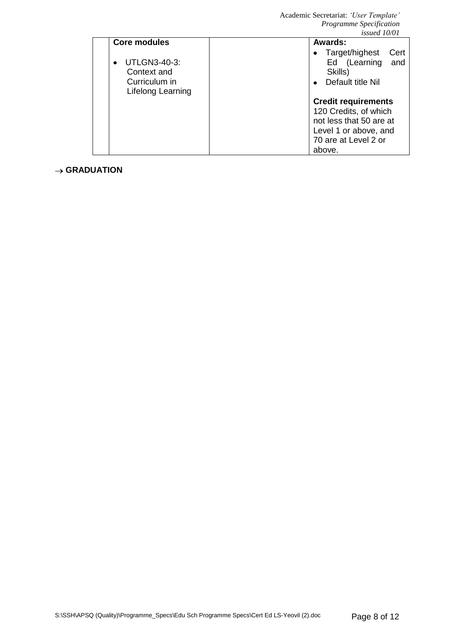|                                                                   | wouca 19701                                                                     |
|-------------------------------------------------------------------|---------------------------------------------------------------------------------|
| Core modules                                                      | Awards:                                                                         |
| UTLGN3-40-3:<br>Context and<br>Curriculum in<br>Lifelong Learning | • Target/highest<br>Cert<br>Ed (Learning<br>and<br>Skills)<br>Default title Nil |
|                                                                   | <b>Credit requirements</b>                                                      |
|                                                                   | 120 Credits, of which                                                           |
|                                                                   | not less that 50 are at                                                         |
|                                                                   | Level 1 or above, and                                                           |
|                                                                   | 70 are at Level 2 or                                                            |
|                                                                   | above.                                                                          |

## $\rightarrow$  GRADUATION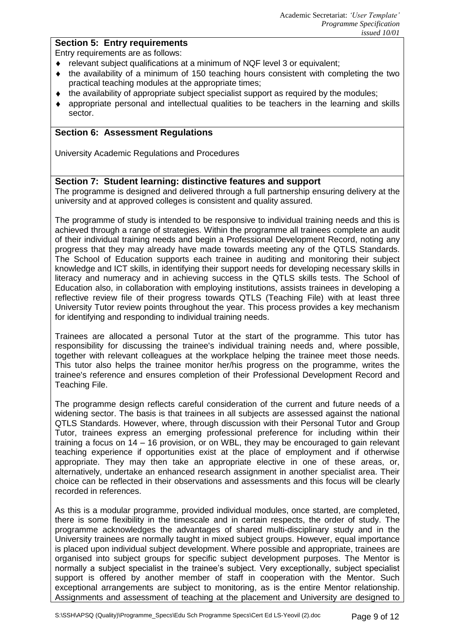## **Section 5: Entry requirements**

Entry requirements are as follows:

- ◆ relevant subject qualifications at a minimum of NQF level 3 or equivalent:
- the availability of a minimum of 150 teaching hours consistent with completing the two  $\bullet$ practical teaching modules at the appropriate times;
- $\bullet$  the availability of appropriate subject specialist support as required by the modules;
- appropriate personal and intellectual qualities to be teachers in the learning and skills sector.

### **Section 6: Assessment Regulations**

University Academic Regulations and Procedures

### **Section 7: Student learning: distinctive features and support**

The programme is designed and delivered through a full partnership ensuring delivery at the university and at approved colleges is consistent and quality assured.

The programme of study is intended to be responsive to individual training needs and this is achieved through a range of strategies. Within the programme all trainees complete an audit of their individual training needs and begin a Professional Development Record, noting any progress that they may already have made towards meeting any of the QTLS Standards. The School of Education supports each trainee in auditing and monitoring their subject knowledge and ICT skills, in identifying their support needs for developing necessary skills in literacy and numeracy and in achieving success in the QTLS skills tests. The School of Education also, in collaboration with employing institutions, assists trainees in developing a reflective review file of their progress towards QTLS (Teaching File) with at least three University Tutor review points throughout the year. This process provides a key mechanism for identifying and responding to individual training needs.

Trainees are allocated a personal Tutor at the start of the programme. This tutor has responsibility for discussing the trainee's individual training needs and, where possible, together with relevant colleagues at the workplace helping the trainee meet those needs. This tutor also helps the trainee monitor her/his progress on the programme, writes the trainee's reference and ensures completion of their Professional Development Record and Teaching File.

The programme design reflects careful consideration of the current and future needs of a widening sector. The basis is that trainees in all subjects are assessed against the national QTLS Standards. However, where, through discussion with their Personal Tutor and Group Tutor, trainees express an emerging professional preference for including within their training a focus on 14 – 16 provision, or on WBL, they may be encouraged to gain relevant teaching experience if opportunities exist at the place of employment and if otherwise appropriate. They may then take an appropriate elective in one of these areas, or, alternatively, undertake an enhanced research assignment in another specialist area. Their choice can be reflected in their observations and assessments and this focus will be clearly recorded in references.

As this is a modular programme, provided individual modules, once started, are completed, there is some flexibility in the timescale and in certain respects, the order of study. The programme acknowledges the advantages of shared multi-disciplinary study and in the University trainees are normally taught in mixed subject groups. However, equal importance is placed upon individual subject development. Where possible and appropriate, trainees are organised into subject groups for specific subject development purposes. The Mentor is normally a subject specialist in the trainee's subject. Very exceptionally, subject specialist support is offered by another member of staff in cooperation with the Mentor. Such exceptional arrangements are subject to monitoring, as is the entire Mentor relationship. Assignments and assessment of teaching at the placement and University are designed to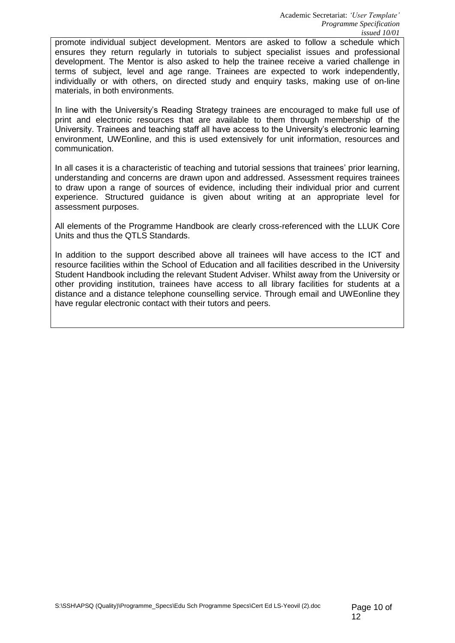promote individual subject development. Mentors are asked to follow a schedule which ensures they return regularly in tutorials to subject specialist issues and professional development. The Mentor is also asked to help the trainee receive a varied challenge in terms of subject, level and age range. Trainees are expected to work independently, individually or with others, on directed study and enquiry tasks, making use of on-line materials, in both environments.

In line with the University's Reading Strategy trainees are encouraged to make full use of print and electronic resources that are available to them through membership of the University. Trainees and teaching staff all have access to the University's electronic learning environment, UWEonline, and this is used extensively for unit information, resources and communication.

In all cases it is a characteristic of teaching and tutorial sessions that trainees' prior learning, understanding and concerns are drawn upon and addressed. Assessment requires trainees to draw upon a range of sources of evidence, including their individual prior and current experience. Structured guidance is given about writing at an appropriate level for assessment purposes.

All elements of the Programme Handbook are clearly cross-referenced with the LLUK Core Units and thus the QTLS Standards.

In addition to the support described above all trainees will have access to the ICT and resource facilities within the School of Education and all facilities described in the University Student Handbook including the relevant Student Adviser. Whilst away from the University or other providing institution, trainees have access to all library facilities for students at a distance and a distance telephone counselling service. Through email and UWEonline they have regular electronic contact with their tutors and peers.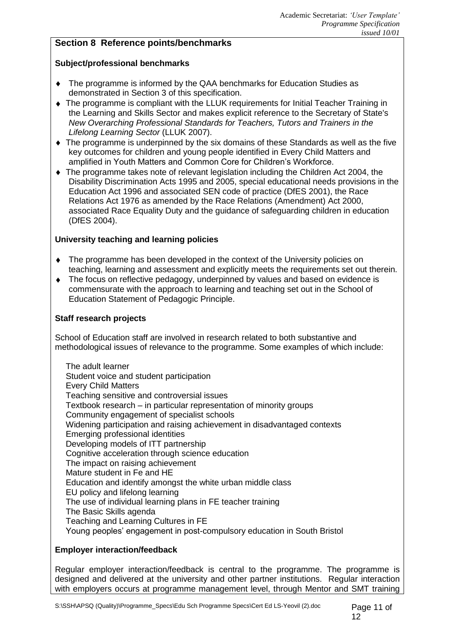## **Section 8 Reference points/benchmarks**

## **Subject/professional benchmarks**

- The programme is informed by the QAA benchmarks for Education Studies as demonstrated in Section 3 of this specification.
- The programme is compliant with the LLUK requirements for Initial Teacher Training in the Learning and Skills Sector and makes explicit reference to the Secretary of State's *New Overarching Professional Standards for Teachers, Tutors and Trainers in the Lifelong Learning Sector* (LLUK 2007).
- The programme is underpinned by the six domains of these Standards as well as the five key outcomes for children and young people identified in Every Child Matters and amplified in Youth Matters and Common Core for Children's Workforce.
- The programme takes note of relevant legislation including the Children Act 2004, the Disability Discrimination Acts 1995 and 2005, special educational needs provisions in the Education Act 1996 and associated SEN code of practice (DfES 2001), the Race Relations Act 1976 as amended by the Race Relations (Amendment) Act 2000, associated Race Equality Duty and the guidance of safeguarding children in education (DfES 2004).

### **University teaching and learning policies**

- The programme has been developed in the context of the University policies on teaching, learning and assessment and explicitly meets the requirements set out therein.
- The focus on reflective pedagogy, underpinned by values and based on evidence is commensurate with the approach to learning and teaching set out in the School of Education Statement of Pedagogic Principle.

### **Staff research projects**

School of Education staff are involved in research related to both substantive and methodological issues of relevance to the programme. Some examples of which include:

The adult learner Student voice and student participation Every Child Matters Teaching sensitive and controversial issues Textbook research – in particular representation of minority groups Community engagement of specialist schools Widening participation and raising achievement in disadvantaged contexts Emerging professional identities Developing models of ITT partnership Cognitive acceleration through science education The impact on raising achievement Mature student in Fe and HE Education and identify amongst the white urban middle class EU policy and lifelong learning The use of individual learning plans in FE teacher training The Basic Skills agenda Teaching and Learning Cultures in FE Young peoples' engagement in post-compulsory education in South Bristol

## **Employer interaction/feedback**

Regular employer interaction/feedback is central to the programme. The programme is designed and delivered at the university and other partner institutions. Regular interaction with employers occurs at programme management level, through Mentor and SMT training